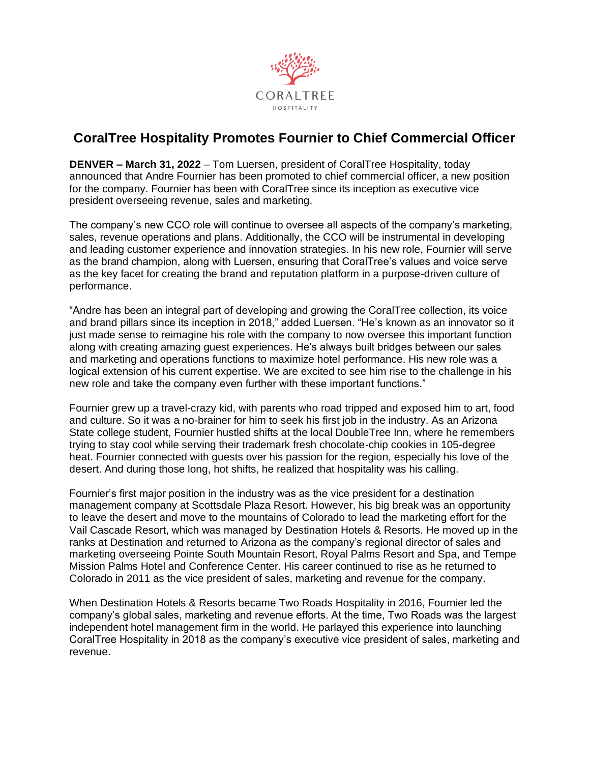

## **CoralTree Hospitality Promotes Fournier to Chief Commercial Officer**

**DENVER – March 31, 2022** – Tom Luersen, president of CoralTree Hospitality, today announced that Andre Fournier has been promoted to chief commercial officer, a new position for the company. Fournier has been with CoralTree since its inception as executive vice president overseeing revenue, sales and marketing.

The company's new CCO role will continue to oversee all aspects of the company's marketing, sales, revenue operations and plans. Additionally, the CCO will be instrumental in developing and leading customer experience and innovation strategies. In his new role, Fournier will serve as the brand champion, along with Luersen, ensuring that CoralTree's values and voice serve as the key facet for creating the brand and reputation platform in a purpose-driven culture of performance.

"Andre has been an integral part of developing and growing the CoralTree collection, its voice and brand pillars since its inception in 2018," added Luersen. "He's known as an innovator so it just made sense to reimagine his role with the company to now oversee this important function along with creating amazing guest experiences. He's always built bridges between our sales and marketing and operations functions to maximize hotel performance. His new role was a logical extension of his current expertise. We are excited to see him rise to the challenge in his new role and take the company even further with these important functions."

Fournier grew up a travel-crazy kid, with parents who road tripped and exposed him to art, food and culture. So it was a no-brainer for him to seek his first job in the industry. As an Arizona State college student, Fournier hustled shifts at the local DoubleTree Inn, where he remembers trying to stay cool while serving their trademark fresh chocolate-chip cookies in 105-degree heat. Fournier connected with guests over his passion for the region, especially his love of the desert. And during those long, hot shifts, he realized that hospitality was his calling.

Fournier's first major position in the industry was as the vice president for a destination management company at Scottsdale Plaza Resort. However, his big break was an opportunity to leave the desert and move to the mountains of Colorado to lead the marketing effort for the Vail Cascade Resort, which was managed by Destination Hotels & Resorts. He moved up in the ranks at Destination and returned to Arizona as the company's regional director of sales and marketing overseeing Pointe South Mountain Resort, Royal Palms Resort and Spa, and Tempe Mission Palms Hotel and Conference Center. His career continued to rise as he returned to Colorado in 2011 as the vice president of sales, marketing and revenue for the company.

When Destination Hotels & Resorts became Two Roads Hospitality in 2016, Fournier led the company's global sales, marketing and revenue efforts. At the time, Two Roads was the largest independent hotel management firm in the world. He parlayed this experience into launching CoralTree Hospitality in 2018 as the company's executive vice president of sales, marketing and revenue.